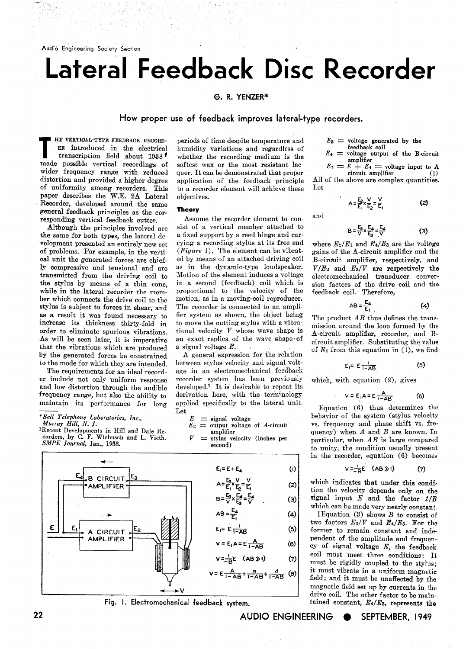# **Lateral Feedback Disc Recorder**

## G. R. YENZER\*

### **How proper use of feedback improves lateral-type recorders.**

**THE VERTICAL-TYPE FEEDBACK RECORD-** periods of time despite temperature and  $E_3$  = **voltage** generated by the **ER** introduced in the electrical humidity variations and regardless of feedback coil transcription field abo **transcription field about 1938 <sup>***t***</sup> whether the recording medium is the**  $E_4 = \text{voltage of}$  **amplifier of the B-circuit increase of softest wax or the most resistant lac-<br>**  $E_1 = E_4 - E_4$ wider frequency range with reduced quer. It can be demonstrated that proper  $\frac{L_1 - L_2}{L_1 - L_1}$  amplifier (1) distortion and provided a higher degree application of the feedback principle All of the above are complex qu of uniformity among recorders. This paper describes the W.E. 2A Lateral objectives. Recorder, developed around the same<br>general feedback principles as the complete **Theory** general feedback principles as the cor-

the same for both types, the lateral de-<br>velopment presented an entirely new set rying a recording stylus at its free end where  $E_2/E_1$  and  $E_4/E_3$  are the voltage velopment presented an entirely new set rying a recording stylus at its free end where  $E_2/E_1$  and  $E_4/E_3$  are the voltage of problems. For example, in the verti- (Figure 1). The element can be vibrat- gains of the A-ci of problems. For example, in the verti- (Figure 1). The element can be vibrat-<br>cal unit the generated forces are chief- ed by means of an attached driving coil cal unit the generated forces are chief- ed by means of an attached driving coil B-circuit amplifier, respectively, and ly compressive and tensional and are as in the dynamic-type loudspeaker.  $V/E_2$  and  $E_3/V$  are respec the stylus by means of a thin cone, in a second (feedback) coil which is sion factors of the drive coil and the while in the lateral recorder the mem-<br>while in the lateral recorder the mem-<br>proportional to the velocity of while in the lateral recorder the mem-<br>ber which connects the drive coil to the motion, as in a moving-coil reproducer. ber which connects the drive coil to the stylus is subject to forces in shear, and **as a result it was found necessary to** fier system as shown, the object being The product  $\overline{AB}$  thus defines the trans-<br>increase its thickness thirty-fold in to move the cutting stylus with a vibra-<br>mission sround the increase its thickness thirty-fold in to move the cutting stylus with a Tibra- mission around the loop formed by the order to eliminate spurious vibrations, tional velocity  $V$  whose wave shape is A-circuit applifer recor order to eliminate spurious vibrations. tional velocity *V* whose wave shape is A-circuit amplifier, recorder, and B-<br>As will be seen later, it is imperative an exact replica of the wave shape of circuit amplifier. Substit that the vibrations which are produced a signal voltage  $E$ .<br>by the generated forces be constrained A general expression for the relation of  $E_4$  from this equation in (1), we find by the generated forces be constrained to the mode for which they are intended.

er include not only uniform response and low distortion through the audible o the mode for The require<br>  $\mathbf r$  include not not include the model of requency<br>  $\mathbf r$  and  $\mathbf r$  is the maintain set of the main<br>  $\mathbf r$  and  $\mathbf r$  and  $\mathbf r$  and  $\mathbf r$  and<br>  $\mathbf r$   $\mathbf r$  and  $\mathbf r$  and  $\mathbf r$  and  $\math$ 

**SMPE** Journal, Jan., 1938.





ER introduced in the electrical humidity variations and regardless of  $F_4$  = voltage output of the B-circuit transcription field about 1938 whether the recording medium is the softest wax or the most resistant lac-<br>quer. It can be demonstrated that proper<br> $E_1 = E + E_4 =$  voltage input to A<br>circuit amplifier (1) application of the feedback principle All<br>to a recorder element will achieve these Let

responding vertical feedback cutter. Assume the recorder element to con-<br>Although the principles involved are sist of a vertical member attached to Although the principles involved are sist of a vertical member attached to  $\theta$  as  $\theta$  same for both types the lateral de-<br>**a** fixed support by a reed hinge and car-The recorder is connected to an amplifier system as shown, the object being as exact replica of the wave shape of circuit amplifier. Substituting the value a signal voltage  $E$ .

between stylus velocity and signal volt-<br>age in an electromechanical feedback **E**<sup>1</sup> E<sub>l</sub>= **E**<sub>1</sub>-AB The requirements for an ideal record- age in an electromechanical feedback **I AD** include not only uniform response recorder system has been previously which, with equation (2), gives developed.<sup>1</sup> It is desirable to repeat its derivation here, with the terminology requency range, but also the ability to derivation here, with the terminology  $V = E_1 A = E \frac{A}{1 - \Delta B}$  (6) maintain its performance for long applied specifically to the lateral unit.

*\*Bell Telephone Laboratories, Inc.,*  $E =$  signal voltage  $E_2$  = output voltage of A-circuit

- 
- 

$$
A = \frac{E_2}{E_1} \times \frac{V}{E_2} = \frac{V}{E_1}
$$
 (2)

and

$$
B = \frac{E_3}{V} \times \frac{E_4}{E_3} = \frac{E_4}{V}
$$
 (3)

y compressive and tensional and are as in the dynamic-type loudspeaker.  $V/E_2$  and  $E_3/V$  are respectively the ransmitted from the driving coil to Motion of the element induces a voltage electromechanical transducer conver-

$$
B = \frac{E_4}{F} \tag{4}
$$

$$
E_1 = E \frac{1}{1 - \Delta B} \tag{5}
$$

$$
V = E_1 A = E \frac{A}{1 - AB}
$$
 (6)

Equation (6) thus determines the<br>  $E =$  signal voltage behavior of the system (stylus velocity *Murray Hill, N. J.*  $E_2 = \text{output voltage of } A\text{-circuit}$  is the set of  $A\text{-circuit}$  in the set of  $A\text{-circuit}$  is the set of  $A\text{-circuit}$  in the  $A$  and  $B$  are known. In Recent Developments in Hill and Dale Re-<br>corders, by C. F. Wiebusch and L. Vieth.  $V =$  stylus velocity (inches per particular, when AB is large compared stylus velocity (inches per particular, when  $\overline{AB}$  is large compared second) to unity, the condition usually present in the recorder, equation (6) becomes

$$
V = \frac{1}{-B} E \quad (AB \gg i)
$$
 (7)

which indicates that under this condition the velocity depends only on the signal input  $E$  and the factor  $1/B$ which can be made very nearly constant.

[Equation **(3)** shows B to consist of two factors  $E_3/V$  and  $E_4/E_3$ . For the former to remain constant and independent of the amplitude and frequency of signal voltage  $E$ , the feedback coil must meet three conditions: It must be rigidly coupled to the stylus; it must vibrate in a uniform magnetic field; and it must be unaffected by the magnetic field set up by currents in the drive coil. The other factor to be main-<br>tained constant,  $E_4/E_3$ , represents the

**22 AUDIO ENGINEERING SEPTEMBER, 1949**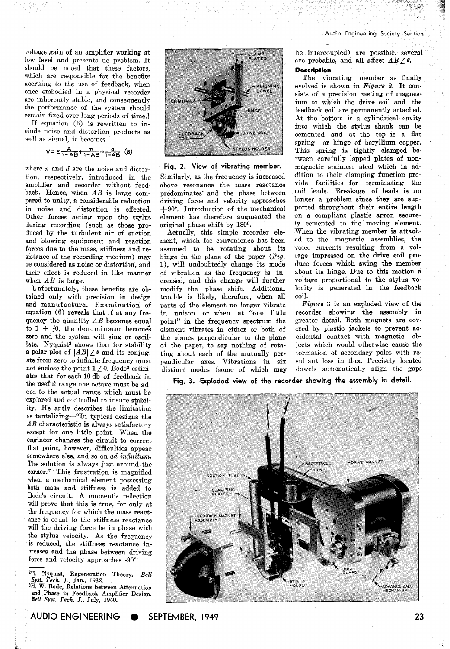Audio Engineering Society Section -

voltage gain of an amplifier working at low level and presents no problem. It should be noted that these factors, which are responsible for the benefits accruing to the use of feedback, when once embodied in a physical recorder are inherently stable, and consequently the performance of the system should remain fixed over long periods of time.]

If equation (6) is rewritten to include noise and distortion products as well as signal, it becomes

$$
V = E \frac{A}{1 - AB} + \frac{n}{1 - AB} + \frac{d}{1 - AB}
$$
 (8)

where *n* and *d* are the noise and distortion, respectively, introduced in the amplifier and recorder without feedback. Hence, when *AB* is large compared to unity, a considerable reduction in noise and distortion is effected. Other forces acting upon the stylus during recording (such as those produced by the turbulent air of suction and blowing equipment and reaction forces due to the mass, stiffness and resistance of the recording medium) may be considered as noise or distortion, and their effect is reduced in like manner when *AB* is large.

Unfortunately, these benefits are obtained only with precision in design and manufacture. Examination of equation (6) reveals that if at any frequency the quantity *AB* becomes equal to  $1 + j0$ , the denominator becomes zero and the system will sing or oscillate. Nyquist<sup>2</sup> shows that for stability a polar plot of  $|AB| \angle \theta$  and its conjugate from zero to infinite frequency must not enclose the point  $1 \angle 0$ . Bode<sup>3</sup> estimates that for each 10 db of feedback in the useful range one octave must be added to the actual range which must be explored and controlled to insure stability. He aptly describes the limitation as tantalizing-"In typical designs the *AB* characteristic is always satisfactory except for one little point. When the engineer changes the circuit to correct that point, however, difficulties appear somewhere else, and so on *ad infinitum*. The solution is always just around the corner." This frustration is magnified when a mechanical element possessing both mass and stiffness is added to Bode's circuit. **A** moment's reflection will prove that this is true, for only at the frequency for which the mass reactance is equal to the stiffness reactance will the driving force be in phase with the stylus velocity. As the frequency is reduced, the stiffness reactance increases and the phase between driving force and velocity approaches **-90"** 

, **2H. Nyquist, Regeneration** Theory. *Bell*  **Syst.** *Tech.* **J., Jan.,** 1932.

**3H. W. Rode, Relations between Attenuation and Phase in Feedback Amplifier Design. Bell Sysb.** *Tech.* **J., July,** 1941).



#### **Fig. 2. View of vibrating member.**

Similarly, as the frequency is increased above resonance the mass reactance predominates' and the phase between driving force and velocity approaches  $+90^\circ$ . Introduction of the mechanical element has therefore augmented the original phase shift by 180°.

Actually, this simple recorder element, which for convenience has been sssumed to be rotating about its hinge in the plane of the paper *(Fig.*  I), will undoubtedly change its mode of vibration as the frequency is increased, and this change will further modify the phase shift. Additional trouble is likely, therefore, when all parts of the element no longer vibrate in unison or when at "one little point" in the frequency spectrum the element vibrates in either or both of the planes perpendicular to the plane of the paper, to say nothing of rotating about each of the mutually perpendicular axes. Vibrations in six distinct modes (some of which may

be intercoupled) are possibie. several are probable, and all affect  $AB \angle \theta$ . **Description** 

The vibrating member as finally evolved is shown in *Figure* **2.** It consists of a precision casting of magnesium to which the drive coil and the feedback coil are permanently attached. At the bottom is a cylindrical cavity into which the stylus shank can be cemented and at the top is a flat spring or hinge of beryllium copper. This spring is tightly clamped between carefully lapped plates of nonmagnetic stainless steel which in addition to their clamping function provide facilities for terminating the coil leads. Breakage of leads is no longer a problem since they are supported throughout their entire length on a compliant plastic apron securely cemented to the moving element. When the vibrating member is attached to the magnetic assemblies, the voice currents resulting from a voltage impressed on the drive coil produce forces which swing the member about its hinge. Due to this motion a voltage proportional to the stylus velocity is generated in the feedback coil.

*Fig16re* **3** is an exploded view of the recorder showing the assembly in greater detail. Both magnets are covered by plastic jackets to prevent accidental contact with magnetic objects which would otherwise cause the formation of secondary poles with resultant loss in **flux.** Precisely located dowels automatically align the gaps

Fig. 3. Exploded view of the recorder showing the assembly in detail.



23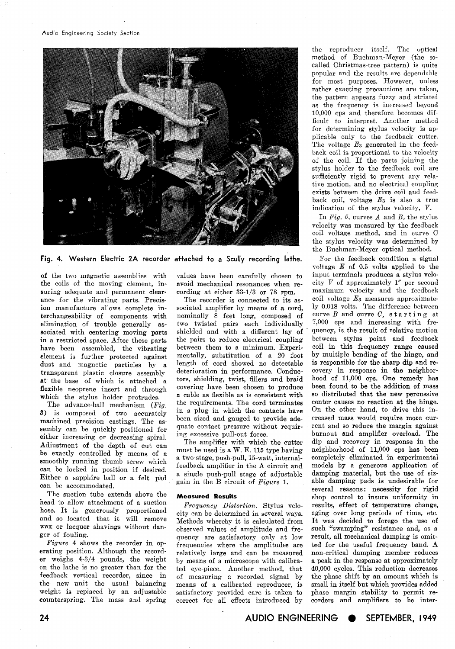

**Fig. 4. Western Electric 2A recorder attached to a Scully recording lathe.** 

of the two magnetic assemblies with the coils of the moving element, insuring adequate and permanent clearance for the vibrating parts. Precision manufacture allows complete interchangeability of components with elimination of trouble generally associated with centering moving parts in a restricted space. After these parts have been assembled, the vibrating element is further protected against dust and magnetic particles by a transparent plastic closure assembly at the base of which is attached a flexible neoprene insert and through which the stylus holder protrudes.

The advance-ball mechanism *(Fig.*  **3)** is composed of two accurately machined precision castings. The assembly can be quickly positioned for either increasing or decreasing spiral. Adjustment of the depth of cut can be exactly controlled by means of a smoothly running thumb screw which can be locked in position if desired. Either a sapphire ball or a felt pad can be accommodated.

The suction tube extends above the head to allow attachment of a suction hose. It is generously proportioned and so located that it will remove wax or lacquer shavings without danger of fouling.

*Figure* 4 shows the recorder in operating position. Although the recorder weighs 4-3/4 pounds, the weight on the lathe is no greater than for the feedback vertical recorder, since in the new unit the usual balancing weight is replaced by an adjustable counterspring. The mass and spring

The recorder is connected to its associated amplifier by means of a cord, nominally 8 feet long, composed of

two twisted pairs each individually shielded and with a different lay of the pairs to reduce electrical coupling between them to a minimum. Experimentally, substitution of a 20 foot length of cord showed no detectable deterioration in performance. Conductors, shielding, twist, fillers and braid covering have been chosen to produce *a* cable as flexible as is consistent with the requirements. The cord terminates in a plug in which the contacts have been sized and gauged to provide adequate contact pressure without requiring excessive pull-out force.

values have been carefully chosen to avoid mechanical resonances when recording at either 33-1/3 or 78 rpm.

The amplifier with which the cutter must be used is a W. E. 115 type having a two-stage, push-pull, 15-watt, internalfeedback amplifier in the A circuit and a single push-pull stage of adjustable gain in the B circuit of *Figure* 1.

#### **Measured Results**

*Frequency Distortion.* Stylus velocity can be determined in several ways. Methods whereby it is calculated from observed values of amplitude and frequency are satisfactory only at low frequencies where the amplitudes are relatively large and can be measured by means of a microscope with calibrated eye-piece. Another method, that of measuring a recorded signal by means of a calibrated reproducer, is satisfactory provided care is taken to correct for all effects introduced by

the reproducer itself. The optical method of Buchman-Meyer (the socalled Christmas-tree pattern) is quite popular and the results are dependable for most purposes. However, unless rather exacting precautions are taken, the pattern appears fuzzy and striated as the frequency is increased beyond 10,000 cps and therefore becomes difficult to interpret. Another method for determining stylus velocity is applicable only to the feedback cutter. The voltage  $E_3$  generated in the feedback coil is proportional to the velocity of the coil. If the parts joining the stylus holder to the feedback coil are sufficiently rigid to prevent any relative motion, and no electrical coupling exists between the drive coil and feedback coil, voltage  $E_3$  is also a true indication of the stylus velocity, V.

In Fig. 5, curves  $A$  and  $B$ , the stylus velocity was measured by the feedback coil voltage method, and in curve C the stylus velocity was determined by the Buchman-Meyer optical method.

For the feedback condition a signal voltage *E* of 0.5 volts applied to the input terminals produces a stylus velocity V of approximately 1" per second maximum velocity and the feedback coil voltage *EQ* measures approximately 0.018 volts. The difference between curve  $B$  and curve  $C$ , starting at 7:000 cps and increasing with frequency, is the result of relative motion between stylus point and feedback coil in this frequency range caused by multiple bending of the hinge, and is responsible for the sharp dip and recovery in response in the neighborhood of 11,000 cps. One remedy has been found to be the addition of mass so distributed that the new percussive center causes no reaction at the hinge. On the other hand, to drive this increased mass would require more current and so reduce the margin against burnout and amplifier overload. The dip and recovery in response in the neighborhood of 11,000 cps has been completely eliminated in experimental models by a generous application of damping material, but the use of sizable damping pads is undesirable for several reasons: necessity for rigid shop control to insure uniformity in results, effect of temperature change, aging over long periods of time, etc. It was decided to forego the use of such "swamping" resistance and, as a result, all mechanical damping is omitted for the useful frequency band. A non-critical damping member reduces a peak in the response at approximately 40,000 cycles. This reduction decreases the phase shift by an amount which is small in itself but which provides added phase margin stability to permit recorders and amplifiers to be inter-

**AUDIO ENGINEERING SEPTEMBER, 1949**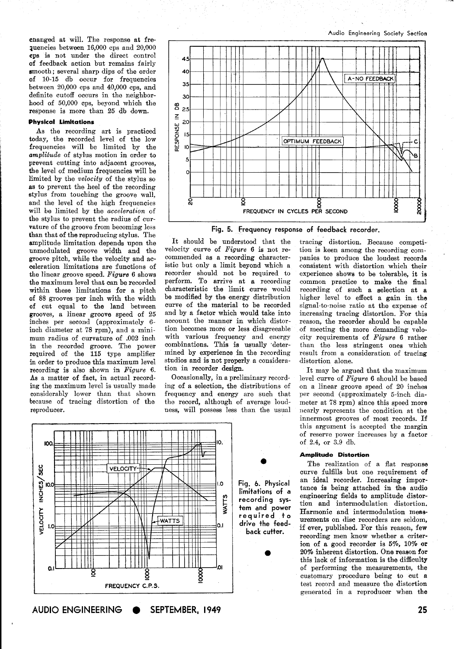cnanged at will. The response at frequencies between 16,000 cps and 20,000 cps is not under the direct control of feedback action but remains fairly smooth; several sharp dips of the order of 10-15 db occur for frequencies between  $20,000$  cps and  $40,000$  cps, and definite cutoff occurs in the neighborhood of 50,000 cps, beyond which the response is more than 25 db down.

#### **Physical Limitations**

As the recording art is practiced today, the recorded level of the low frequencies will be limited by the *amplitude* of stylus motion in order to prevent cutting into adjacent grooves, the level of medium frequencies will be limited by the *velocity* of the stylus so as to prevent the heel of the recording stylus from touching the groove wall, and the level of the high frequencies will be limited by the *accelerution* of the stylus to prevent the radius of curvature of the groove from becoming less than that of the reproducing stylus. The amplitude limitation depends upon the unmodulated groove width and the groove pitch, while the velocity and ao celeration limitations are functions of the linear groove speed. *Figure* 6 shows the maximum level that can be recorded within these limitations for a pitch of 88 grooves per inch with the width of cut eaual to the land between grooves, a linear groove speed of 25 inches per second (approximately 6 inch diameter at 78 rpm), and a minimum radius of curvature of .002 inch in the recorded groove. The power required of the 115 type amplifier in order to produce this maximum level recording is also shown in *Figure* 6. As a matter of fact, in actual recording the maximum level is usually made considerably lower than that shown because of tracing distortion of the reproducer.



Fig. 5. Frequency response of feedback recorder.

It should be understood that the velocity curve of *Figure* 6 is not recommended as a recording characteristic but only a limit beyond which a recorder should not be required to perform. To arrive at a recording characteristic the limit curve would be modified by the energy distribution curve of the material to be recorded and bg a factor which would take into account the manner in which distortion becomes more or less disagreeable with various frequency and energy combinations. This is usually 'determined by experience in the recording studios and is not properly a consideration in recorder design.

Occasionally, in a preliminary recording of a selection, the distributions of frequency and energy are such that the record, although of average loudness, will possess less than the usual

tracing distortion. Because competition is keen among the recording companies to produce the loudest records consistent with distortion which their experience shows to be tolerable, it is common practice to make the final recording of such a selection at a higher level to effect a gain in the signal-to-noise ratio at the expense of increasing tracing distortion. For this reason, the recorder should be capable of meeting the more demanding velocity requirements of *Figure* 6 rather than the less stringent ones which result from a consideration of tracing distortion alone.

It may be argued that the maximum level curve of *Figure 6* should be based on a linear groove speed of 20 inches per second (approximately 5-inch diameter at 78 rpm) since this speed more nearly represents the condition at the innermost grooves of most records. If this argument is accepted the margin of reserve power increases by a factor of 2.4, or **3.9** db.

#### **Amplitude Distortion**

The realization of a flat response curve fulfills but one requirement of an ideal recorder. Increasing importance is being attached in the audio engineering fields to amplitude distortion and intermodulation distortion. Harmonic and intermodulation meaeurements on disc recorders are seldom, if ever, published. For this reason, few recording men know whether a criterion of **a** good recorder is 5%, 10% or 20% inherent distortion. One reason for this lack of information is the difficulty of performing the measurements, the customary procedure being to cut a test record and measure the distortion generated in a reproducer when the



AUDIO ENGINEERING SEPTEMBER, 1949

25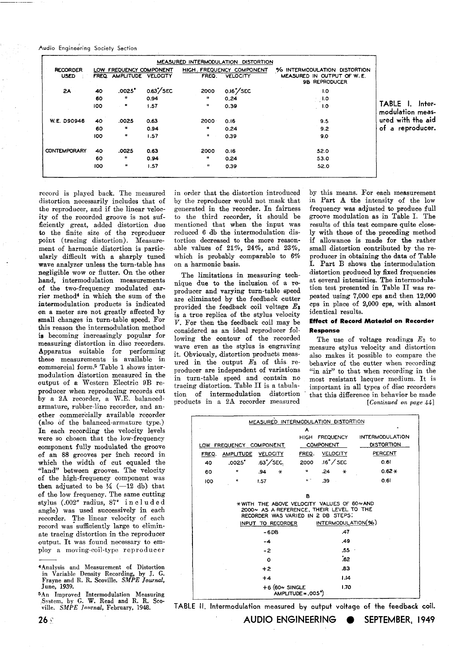Audio Engineering Society Section

|                                |     |                                                    |             |                             | MEASURED INTERMODULATION DISTORTION          |                                                                                    |                                     |
|--------------------------------|-----|----------------------------------------------------|-------------|-----------------------------|----------------------------------------------|------------------------------------------------------------------------------------|-------------------------------------|
| <b>RECORDER</b><br><b>USED</b> |     | LOW FREQUENCY COMPONENT<br>FREQ AMPLITUDE VELOCITY |             | FREQ.                       | HIGH. FREQUENCY COMPONENT<br><b>VELOCITY</b> | % INTERMODULATION DISTORTION<br>MEASURED IN OUTPUT OF W.E.<br><b>9B REPRODUCER</b> |                                     |
| 2A                             | 40  | .0025"                                             | $0.63$ /SEC | 2000                        | 0.16"/SEC                                    | 1.0                                                                                |                                     |
|                                | 60  | 88                                                 | 0.94        | п.                          | 0.24                                         | 35,1.0                                                                             |                                     |
|                                | 100 | $\cdot$ .                                          | 1.57        | $\mathbf{u}$                | 0.39                                         | 1.0                                                                                | TABLE I. Inter-<br>modulation meas- |
| W.E. D90946                    | 40  | .0025                                              | 0.63        | 2000                        | 0.16                                         | 9.5                                                                                | ured with the aid                   |
|                                | 60  | ш                                                  | 0.94        | Ħ                           | 0.24                                         | 9.2                                                                                | of a reproducer.                    |
|                                | 100 | $\mathbf{H}$                                       | 1.57        | $\mathbf{B} = \mathbf{0}$ . | 0.39                                         | 9.0                                                                                |                                     |
| <b>CONTEMPORARY</b>            | 40  | .0025                                              | 0.63        | 2000                        | 0.16                                         | 52.0                                                                               |                                     |
|                                | 60  | $\mathbf{u}$                                       | 0.94        | п.                          | 0.24                                         | 53.0                                                                               |                                     |
|                                | 100 | $\mathbf{H}$                                       | 1.57        | $\mathbf{u}$                | 0.39                                         | 52.0                                                                               |                                     |
|                                |     |                                                    |             |                             |                                              |                                                                                    |                                     |

record is played back. The measured distortion necessarily includes that of the reproducer, and if the linear velocity of the recorded groove is not sufficiently great, added distortion due **to** the finite size of the reproducer point (tracing distortion). Measurement of harmonic distortion is partic ularly difficult with a sharply tuned wave analyzer unless the turn-table has negligible wow or flutter. On the other hand, intermodulation measurements of the two-frequency modulated carrier method<sup>4</sup> in which the sum of the intermodulation products is indicated on a meter are not greatly affected by small changes in turn-table speed. For this reason the intermodulation method **ia** becoming increasingly popular for measuring distortion in disc recorders. Apparatus suitable for performing these measurements is available in commercial form.5 Table 1 shows intermodulation distortion measured in the output of a Western Electric 9B reproducer when reproducing records cut by a 28 recorder, a W.E. balancedarmature, rubber-line recorder, and another commercially available recorder (also of the balanced-armature type.) In each recording the velocity levels were so chosen that the low-frequency oomponent fully modulated the groove of an 88 grooves per inch record in which the width of cut equaled the "land" between grooves. The velocity of the high-frequency component was then adjusted to be  $\frac{1}{4}$   $(-12$  db) that of the low frequency. The same cutting stylus (.002" radius, 87° in cluded angle) was used successively in each recorder. The linear velocity of each record was sufficiently large to eliminate tracing distortion in the reproducer output. It was found necessary to employ a moving-coil-type reproducer

'Analysis and Measurement of Distortion in Variable Density Recording. by J. G. Frayne amd R. R. Scoville. SMPE *Journal,*  June, *1939.* 

**5An** Improved Intermodulation Measuring System, by G. W. Read and R. R. Scoville. SMPE *Journal*, February, 1948.

in order that the distortion introduced by the reproducer would not mask that generated in the recorder. In fairness to the third recorder, it should be mentioned that when the input was reduced 6 db the intermodulation distortion decreased to the more reasonable values of 21%, 24%, and 23%, which is probably comparable to  $6\%$ on a harmonic basis.

The limitations in measuring technique due to the inclusion of a reproducer and varying turn-table speed are eliminated by the feedback cutter provided the feedback coil voltage **Es**  is a true replica of the stylus velocity V. For then the feedback coil may be considered as an ideal reproducer following the contour of the recorded wave even as the stylus is engraving it. Obviously, distortion products measured in the output *E3* of this reproducer are independent of variations in turn-table speed and contain no tracing distortion. Table II is a tabulation of intermodulation distortion products in a 2A recorder measured

by this means. For each measurement in Part **A** the intensity of the low frequency was adjusted to produce full groove modulation as in Table I. The results of this test compare quite closely with those of the preceding method if allowance is made for the rather small distortion contributed by the reproducer in obtaining the data of Table I. Part B shows the intermodulation distortion produced by fixed frequencies at several intensities. The intermodulation test presented in Table I1 was repeated using 7,000 cps and then **12,000**  cps in place of 2,000 cpe, with almost identical results.

#### **Effect of Record Material on Recorder Response**

The use of voltage readings *E3* to measure stylus velocity and distortion also makes it possible to compare the behavior of the cutter when recording "in air" to that when recording in the most resistant lacquer medium. It is important in all types of disc recorders that this difference in behavior be made *[Continued on page 441* 

| MEASURED INTERMODULATION DISTORTION                                                   |                         |                            |                      |                    |                   |  |  |  |  |  |  |
|---------------------------------------------------------------------------------------|-------------------------|----------------------------|----------------------|--------------------|-------------------|--|--|--|--|--|--|
| A                                                                                     |                         |                            |                      |                    |                   |  |  |  |  |  |  |
|                                                                                       |                         |                            |                      | HIGH FREQUENCY     | INTERMODULATION   |  |  |  |  |  |  |
|                                                                                       | LOW FREQUENCY COMPONENT |                            |                      | <b>COMPONENT</b>   | <b>DISTORTION</b> |  |  |  |  |  |  |
| FREQ.                                                                                 | AMPLITUDE VELOCITY      |                            |                      | FREQ. VELOCITY     | PERCENT           |  |  |  |  |  |  |
| 40                                                                                    | .0025"                  | $.63^{\prime}/\text{SEC.}$ | 2000                 | .!6" <i>/ 'SEC</i> | 0.61              |  |  |  |  |  |  |
| 60                                                                                    | $\mathbf{u}$            | .94<br>$\ast$              | u                    | .24<br>$\ast$      | $0.62 +$          |  |  |  |  |  |  |
| 100                                                                                   | ł1                      | 1.57                       | $H^{\infty}$         | .39                | 0.61              |  |  |  |  |  |  |
|                                                                                       |                         |                            |                      |                    |                   |  |  |  |  |  |  |
| в                                                                                     |                         |                            |                      |                    |                   |  |  |  |  |  |  |
| *WITH THE ABOVE VELOCITY VALUES OF 60~AND<br>2000~ AS A REFERENCE, THEIR LEVEL TO THE |                         |                            |                      |                    |                   |  |  |  |  |  |  |
| RECORDER WAS VARIED IN 2 DB STEPS.                                                    |                         |                            |                      |                    |                   |  |  |  |  |  |  |
| INTERMODULATION(%)<br>INPUT TO RECORDER                                               |                         |                            |                      |                    |                   |  |  |  |  |  |  |
|                                                                                       |                         | $-6DB$                     |                      | .47                |                   |  |  |  |  |  |  |
|                                                                                       |                         | -4                         |                      | .49                |                   |  |  |  |  |  |  |
|                                                                                       |                         | -2                         |                      | $.55 -$            |                   |  |  |  |  |  |  |
|                                                                                       |                         | O                          |                      | 62.                |                   |  |  |  |  |  |  |
|                                                                                       |                         | $+2$                       |                      | .83                |                   |  |  |  |  |  |  |
|                                                                                       |                         | $+4$                       |                      | 1.14               |                   |  |  |  |  |  |  |
|                                                                                       |                         | $+6$ (60 $\sim$ SINGLE     | $AMPLITIVE = .005")$ | 1.70               |                   |  |  |  |  |  |  |

**TABLE** 11. Intermodulation measured **by** output voltage of the feedback coil.

AUDIO ENGINEERING SEPTEMBER, 1949